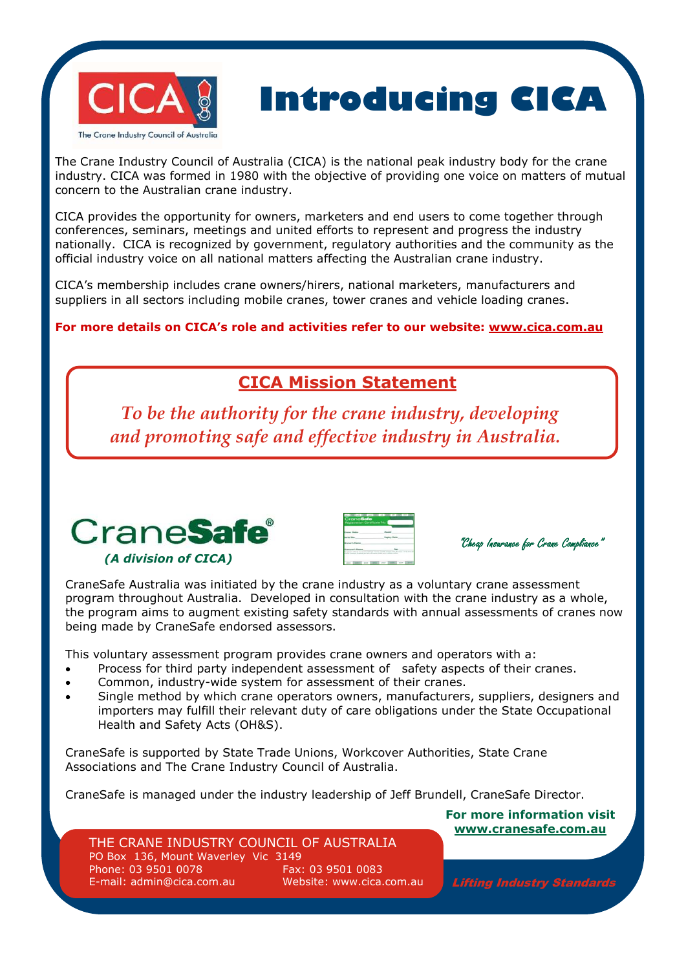



The Crane Industry Council of Australia (CICA) is the national peak industry body for the crane industry. CICA was formed in 1980 with the objective of providing one voice on matters of mutual concern to the Australian crane industry.

CICA provides the opportunity for owners, marketers and end users to come together through conferences, seminars, meetings and united efforts to represent and progress the industry nationally. CICA is recognized by government, regulatory authorities and the community as the official industry voice on all national matters affecting the Australian crane industry.

CICA's membership includes crane owners/hirers, national marketers, manufacturers and suppliers in all sectors including mobile cranes, tower cranes and vehicle loading cranes.

**For more details on CICA's role and activities refer to our website: www.cica.com.au**

## **CICA Mission Statement**

*To be the authority for the crane industry, developing* and promoting safe and effective industry in Australia.



| sanc's Norma |  |
|--------------|--|



CraneSafe Australia was initiated by the crane industry as a voluntary crane assessment program throughout Australia. Developed in consultation with the crane industry as a whole, the program aims to augment existing safety standards with annual assessments of cranes now being made by CraneSafe endorsed assessors.

This voluntary assessment program provides crane owners and operators with a:

- Process for third party independent assessment of safety aspects of their cranes.
- Common, industry-wide system for assessment of their cranes.
- Single method by which crane operators owners, manufacturers, suppliers, designers and importers may fulfill their relevant duty of care obligations under the State Occupational Health and Safety Acts (OH&S).

CraneSafe is supported by State Trade Unions, Workcover Authorities, State Crane Associations and The Crane Industry Council of Australia.

CraneSafe is managed under the industry leadership of Jeff Brundell, CraneSafe Director.

## THE CRANE INDUSTRY COUNCIL OF AUSTRALIA

PO Box 136, Mount Waverley Vic 3149 Phone: 03 9501 0078 Fax: 03 9501 0083 E-mail: admin@cica.com.au Website: www.cica.com.au

**For more information visit www.cranesafe.com.au**

Lifting Industry Standards